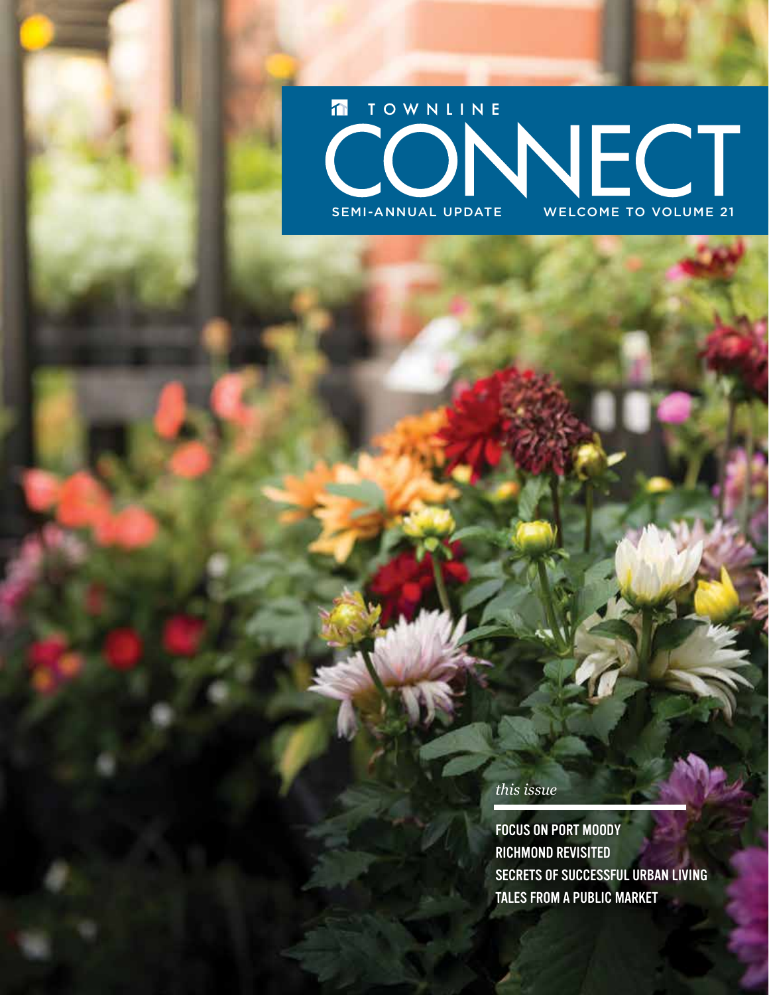### TOWNLINE WECT SEMI-ANNUAL UPDATE WELCOME TO VOLUME 21

*this issue*

FOCUS ON PORT MOODY RICHMOND REVISITED SECRETS OF SUCCESSFUL URBAN LIVING TALES FROM A PUBLIC MARKET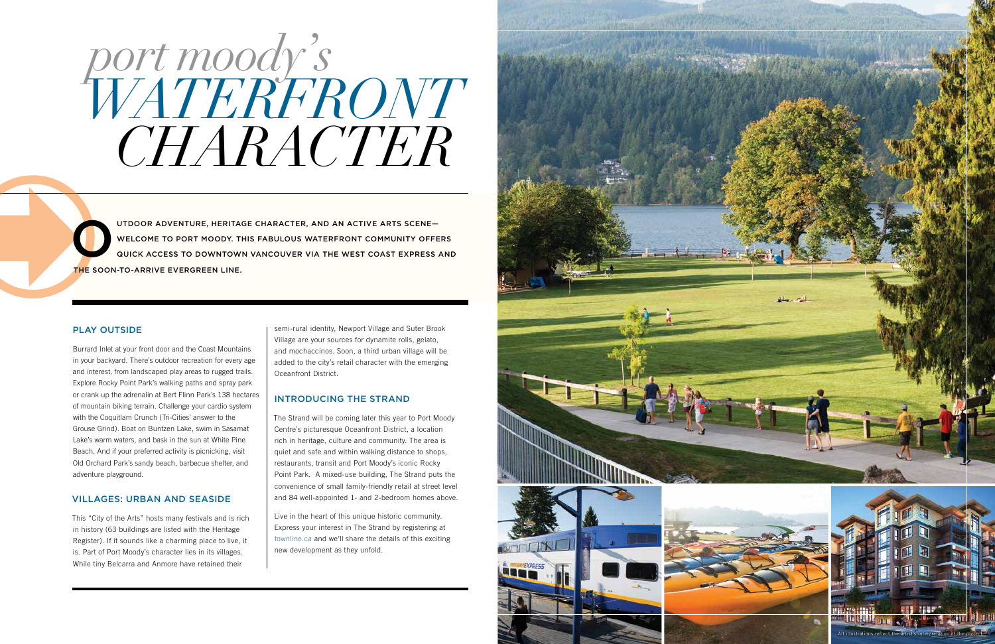UTDOOR ADVENTURE, HERITAGE CHARACTER, AND AN ACTIVE ARTS SCENE—<br>WELCOME TO PORT MOODY. THIS FABULOUS WATERFRONT COMMUNITY OFFE<br>QUICK ACCESS TO DOWNTOWN VANCOUVER VIA THE WEST COAST EXPRESS WELCOME TO PORT MOODY. THIS FABULOUS WATERFRONT COMMUNITY OFFERS QUICK ACCESS TO DOWNTOWN VANCOUVER VIA THE WEST COAST EXPRESS AND THE SOON-TO-ARRIVE EVERGREEN LINE.

# *port moody's CHARACTER WATERFRONT*

#### PLAY OUTSIDE

Burrard Inlet at your front door and the Coast Mountains in your backyard. There's outdoor recreation for every age and interest, from landscaped play areas to rugged trails. Explore Rocky Point Park's walking paths and spray park or crank up the adrenalin at Bert Flinn Park's 138 hectares of mountain biking terrain. Challenge your cardio system with the Coquitlam Crunch (Tri-Cities' answer to the Grouse Grind). Boat on Buntzen Lake, swim in Sasamat Lake's warm waters, and bask in the sun at White Pine Beach. And if your preferred activity is picnicking, visit Old Orchard Park's sandy beach, barbecue shelter, and adventure playground.

#### VILLAGES: URBAN AND SEASIDE

This "City of the Arts" hosts many festivals and is rich in history (63 buildings are listed with the Heritage Register). If it sounds like a charming place to live, it is. Part of Port Moody's character lies in its villages. While tiny Belcarra and Anmore have retained their

semi-rural identity, Newport Village and Suter Brook Village are your sources for dynamite rolls, gelato, and mochaccinos. Soon, a third urban village will be added to the city's retail character with the emerging Oceanfront District.

#### INTRODUCING THE STRAND

The Strand will be coming later this year to Port Moody Centre's picturesque Oceanfront District, a location rich in heritage, culture and community. The area is quiet and safe and within walking distance to shops, restaurants, transit and Port Moody's iconic Rocky Point Park. A mixed-use building, The Strand puts the convenience of small family-friendly retail at street level and 84 well-appointed 1- and 2-bedroom homes above.

Live in the heart of this unique historic community. Express your interest in The Strand by registering at townline.ca and we'll share the details of this exciting new development as they unfold.







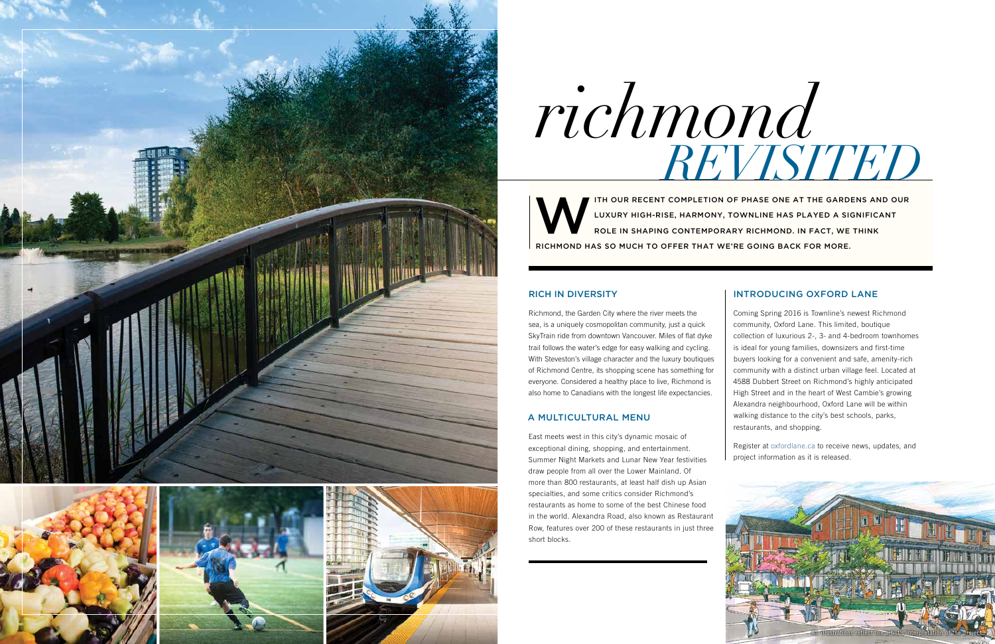#### RICH IN DIVERSITY

Richmond, the Garden City where the river meets the sea, is a uniquely cosmopolitan community, just a quick SkyTrain ride from downtown Vancouver. Miles of flat dyke trail follows the water's edge for easy walking and cycling. With Steveston's village character and the luxury boutiques of Richmond Centre, its shopping scene has something for everyone. Considered a healthy place to live, Richmond is also home to Canadians with the longest life expectancies.

#### A MULTICULTURAL MENU

East meets west in this city's dynamic mosaic of exceptional dining, shopping, and entertainment. Summer Night Markets and Lunar New Year festivities draw people from all over the Lower Mainland. Of more than 800 restaurants, at least half dish up Asian specialties, and some critics consider Richmond's restaurants as home to some of the best Chinese food in the world. Alexandra Road, also known as Restaurant Row, features over 200 of these restaurants in just three short blocks.

ITH OUR RECENT COMPLETION OF PHASE ONE AT THE GARDENS AND OUR<br>LUXURY HIGH-RISE, HARMONY, TOWNLINE HAS PLAYED A SIGNIFICANT<br>ROLE IN SHAPING CONTEMPORARY RICHMOND. IN FACT, WE THINK LUXURY HIGH-RISE, HARMONY, TOWNLINE HAS PLAYED A SIGNIFICANT ROLE IN SHAPING CONTEMPORARY RICHMOND. IN FACT, WE THINK RICHMOND HAS SO MUCH TO OFFER THAT WE'RE GOING BACK FOR MORE.

#### INTRODUCING OXFORD LANE

Coming Spring 2016 is Townline's newest Richmond community, Oxford Lane. This limited, boutique collection of luxurious 2-, 3- and 4-bedroom townhomes is ideal for young families, downsizers and first-time buyers looking for a convenient and safe, amenity-rich community with a distinct urban village feel. Located at 4588 Dubbert Street on Richmond's highly anticipated High Street and in the heart of West Cambie's growing Alexandra neighbourhood, Oxford Lane will be within walking distance to the city's best schools, parks, restaurants, and shopping.

Register at oxfordlane.ca to receive news, updates, and project information as it is released.



# *richmond REVISITED*

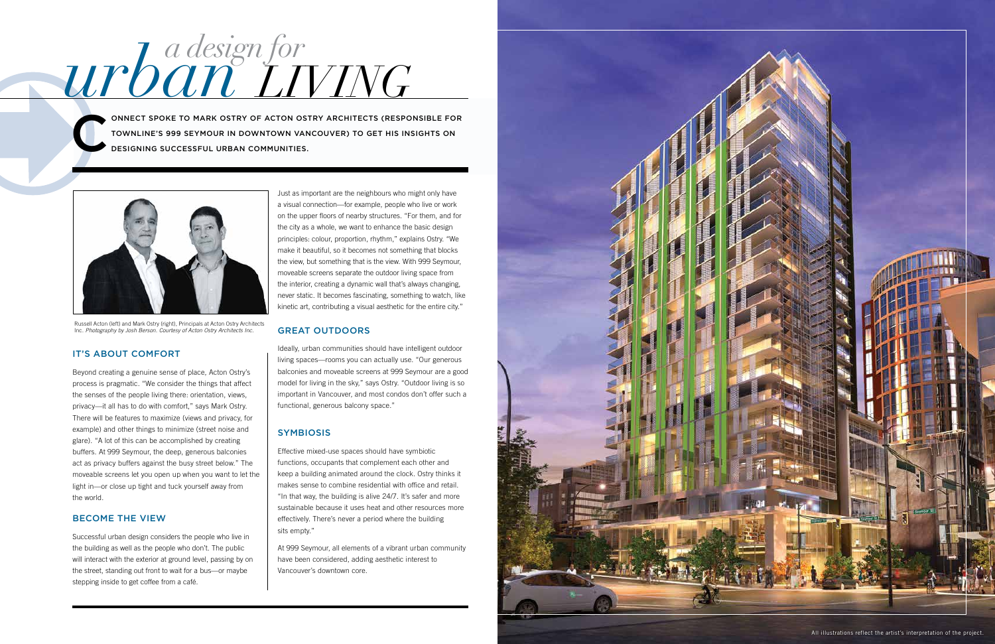#### IT'S ABOUT COMFORT

Beyond creating a genuine sense of place, Acton Ostry's process is pragmatic. "We consider the things that affect the senses of the people living there: orientation, views, privacy—it all has to do with comfort," says Mark Ostry. There will be features to maximize (views and privacy, for example) and other things to minimize (street noise and glare). "A lot of this can be accomplished by creating buffers. At 999 Seymour, the deep, generous balconies act as privacy buffers against the busy street below." The moveable screens let you open up when you want to let the light in—or close up tight and tuck yourself away from the world.

#### BECOME THE VIEW

Successful urban design considers the people who live in the building as well as the people who don't. The public will interact with the exterior at ground level, passing by on the street, standing out front to wait for a bus—or maybe stepping inside to get coffee from a café.

Just as important are the neighbours who might only have a visual connection—for example, people who live or work on the upper floors of nearby structures. "For them, and for the city as a whole, we want to enhance the basic design principles: colour, proportion, rhythm," explains Ostry. "We make it beautiful, so it becomes not something that blocks the view, but something that is the view. With 999 Seymour, moveable screens separate the outdoor living space from the interior, creating a dynamic wall that's always changing, never static. It becomes fascinating, something to watch, like kinetic art, contributing a visual aesthetic for the entire city."

#### GREAT OUTDOORS

Ideally, urban communities should have intelligent outdoor living spaces—rooms you can actually use. "Our generous balconies and moveable screens at 999 Seymour are a good model for living in the sky," says Ostry. "Outdoor living is so important in Vancouver, and most condos don't offer such a functional, generous balcony space."

#### **SYMBIOSIS**

Effective mixed-use spaces should have symbiotic functions, occupants that complement each other and keep a building animated around the clock. Ostry thinks it makes sense to combine residential with office and retail. "In that way, the building is alive 24/7. It's safer and more sustainable because it uses heat and other resources more effectively. There's never a period where the building sits empty."

At 999 Seymour, all elements of a vibrant urban community have been considered, adding aesthetic interest to Vancouver's downtown core.

# *a design for urban LIVING*

C ONNECT SPOKE TO MARK OSTRY OF ACTON OSTRY ARCHITECTS (RESPONSIBLE FOR TOWNLINE'S 999 SEYMOUR IN DOWNTOWN VANCOUVER) TO GET HIS INSIGHTS ON DESIGNING SUCCESSFUL URBAN COMMUNITIES.



Russell Acton (left) and Mark Ostry (right), Principals at Acton Ostry Architects Inc. *Photography by Josh Berson. Courtesy of Acton Ostry Architects Inc.*

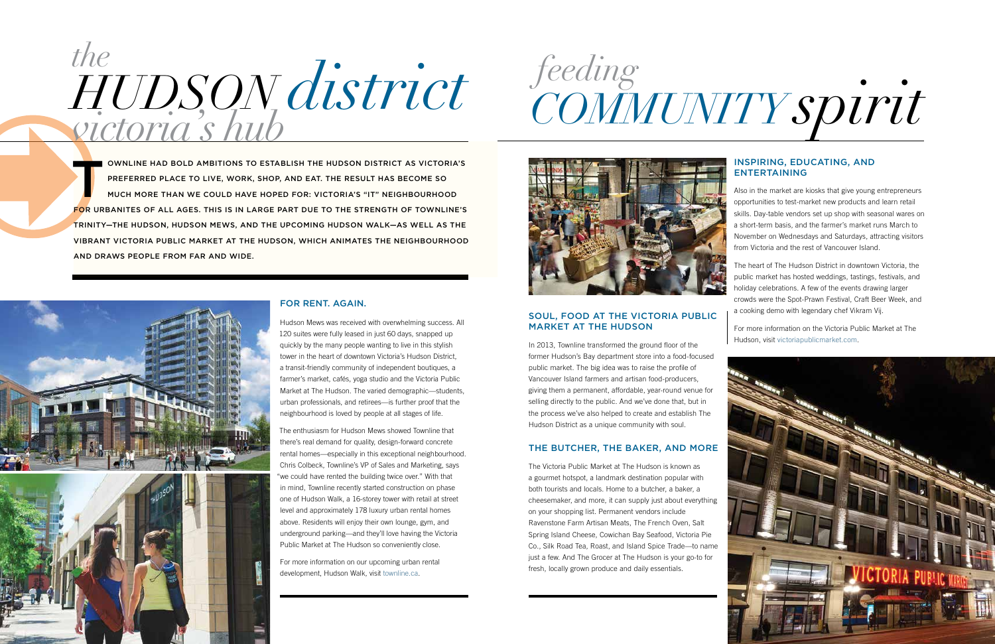OWNLINE HAD BOLD AMBITIONS TO ESTABLISH THE HUDSON DISTRICT AS VICTORIA'S<br>PREFERRED PLACE TO LIVE, WORK, SHOP, AND EAT. THE RESULT HAS BECOME SO<br>MUCH MORE THAN WE COULD HAVE HOPED FOR: VICTORIA'S "IT" NEIGHBOURHOOD PREFERRED PLACE TO LIVE, WORK, SHOP, AND EAT. THE RESULT HAS BECOME SO MUCH MORE THAN WE COULD HAVE HOPED FOR: VICTORIA'S "IT" NEIGHBOURHOOD FOR URBANITES OF ALL AGES. THIS IS IN LARGE PART DUE TO THE STRENGTH OF TOWNLINE'S TRINITY—THE HUDSON, HUDSON MEWS, AND THE UPCOMING HUDSON WALK—AS WELL AS THE VIBRANT VICTORIA PUBLIC MARKET AT THE HUDSON, WHICH ANIMATES THE NEIGHBOURHOOD AND DRAWS PEOPLE FROM FAR AND WIDE.



# *HUDSON district the victoria's hub*

#### FOR RENT. AGAIN.

Hudson Mews was received with overwhelming success. All 120 suites were fully leased in just 60 days, snapped up quickly by the many people wanting to live in this stylish tower in the heart of downtown Victoria's Hudson District, a transit-friendly community of independent boutiques, a farmer's market, cafés, yoga studio and the Victoria Public Market at The Hudson. The varied demographic—students, urban professionals, and retirees—is further proof that the neighbourhood is loved by people at all stages of life.

The enthusiasm for Hudson Mews showed Townline that there's real demand for quality, design-forward concrete rental homes—especially in this exceptional neighbourhood. Chris Colbeck, Townline's VP of Sales and Marketing, says "we could have rented the building twice over." With that in mind, Townline recently started construction on phase one of Hudson Walk, a 16-storey tower with retail at street level and approximately 178 luxury urban rental homes above. Residents will enjoy their own lounge, gym, and underground parking—and they'll love having the Victoria Public Market at The Hudson so conveniently close.

For more information on our upcoming urban rental development, Hudson Walk, visit townline.ca.

## *feeding COMMUNITY spirit*



#### SOUL, FOOD AT THE VICTORIA PUBLIC MARKET AT THE HUDSON

In 2013, Townline transformed the ground floor of the former Hudson's Bay department store into a food-focused public market. The big idea was to raise the profile of Vancouver Island farmers and artisan food-producers, giving them a permanent, affordable, year-round venue for selling directly to the public. And we've done that, but in the process we've also helped to create and establish The Hudson District as a unique community with soul.

#### THE BUTCHER, THE BAKER, AND MORE

The Victoria Public Market at The Hudson is known as a gourmet hotspot, a landmark destination popular with both tourists and locals. Home to a butcher, a baker, a cheesemaker, and more, it can supply just about everything on your shopping list. Permanent vendors include Ravenstone Farm Artisan Meats, The French Oven, Salt Spring Island Cheese, Cowichan Bay Seafood, Victoria Pie Co., Silk Road Tea, Roast, and Island Spice Trade—to name just a few. And The Grocer at The Hudson is your go-to for fresh, locally grown produce and daily essentials.

#### INSPIRING, EDUCATING, AND ENTERTAINING

Also in the market are kiosks that give young entrepreneurs opportunities to test-market new products and learn retail skills. Day-table vendors set up shop with seasonal wares on a short-term basis, and the farmer's market runs March to November on Wednesdays and Saturdays, attracting visitors from Victoria and the rest of Vancouver Island.

The heart of The Hudson District in downtown Victoria, the public market has hosted weddings, tastings, festivals, and holiday celebrations. A few of the events drawing larger crowds were the Spot-Prawn Festival, Craft Beer Week, and a cooking demo with legendary chef Vikram Vij.

For more information on the Victoria Public Market at The Hudson, visit victoriapublicmarket.com.

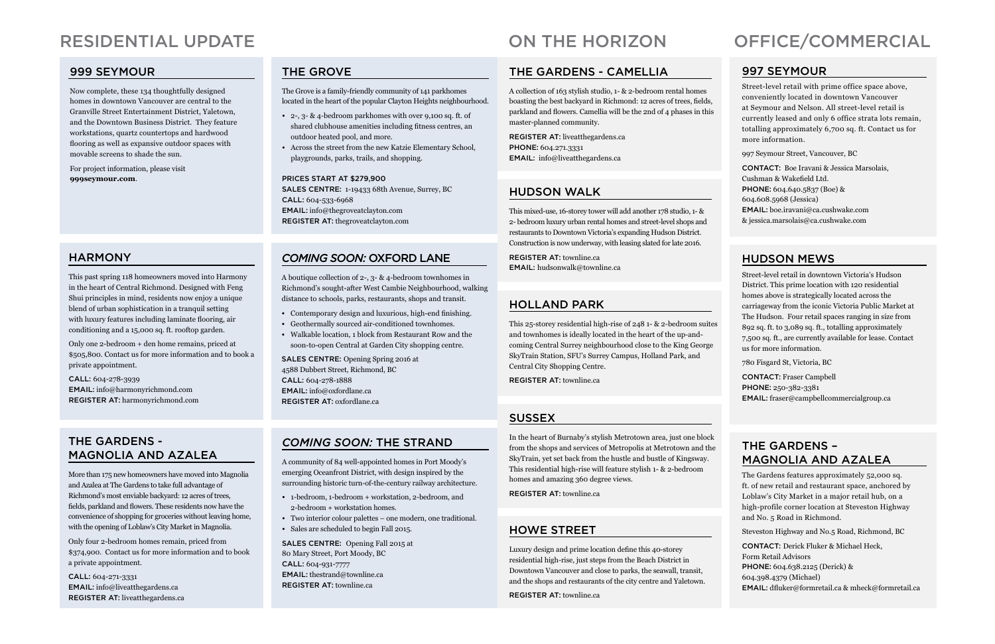#### HOWE STREET

Luxury design and prime location define this 40-storey residential high-rise, just steps from the Beach District in Downtown Vancouver and close to parks, the seawall, transit, and the shops and restaurants of the city centre and Yaletown.

REGISTER AT: townline.ca

### ON THE HORIZON OFFICE/COMMERCIAL

#### 997 SEYMOUR

Street-level retail with prime office space above, conveniently located in downtown Vancouver at Seymour and Nelson. All street-level retail is currently leased and only 6 office strata lots remain, totalling approximately 6,700 sq. ft. Contact us for more information.

997 Seymour Street, Vancouver, BC

CONTACT: Boe Iravani & Jessica Marsolais, Cushman & Wakefield Ltd. PHONE: 604.640.5837 (Boe) & 604.608.5968 (Jessica) EMAIL: boe.iravani@ca.cushwake.com & jessica.marsolais@ca.cushwake.com

#### HUDSON WALK

This mixed-use, 16-storey tower will add another 178 studio, 1- & 2- bedroom luxury urban rental homes and street-level shops and restaurants to Downtown Victoria's expanding Hudson District. Construction is now underway, with leasing slated for late 2016.

REGISTER AT: townline.ca EMAIL: hudsonwalk@townline.ca

#### HUDSON MEWS

Street-level retail in downtown Victoria's Hudson District. This prime location with 120 residential homes above is strategically located across the carriageway from the iconic Victoria Public Market at The Hudson. Four retail spaces ranging in size from 892 sq. ft. to 3,089 sq. ft., totalling approximately 7,500 sq. ft., are currently available for lease. Contact us for more information.

780 Fisgard St, Victoria, BC

CONTACT: Fraser Campbell PHONE: 250-382-3381 EMAIL: fraser@campbellcommercialgroup.ca

#### THE GARDENS – MAGNOLIA AND AZALEA

The Gardens features approximately 52,000 sq. ft. of new retail and restaurant space, anchored by Loblaw's City Market in a major retail hub, on a high-profile corner location at Steveston Highway and No. 5 Road in Richmond.

Steveston Highway and No.5 Road, Richmond, BC

CONTACT: Derick Fluker & Michael Heck, Form Retail Advisors PHONE: 604.638.2125 (Derick) & 604.398.4379 (Michael) EMAIL: dfluker@formretail.ca & mheck@formretail.ca

#### THE GARDENS - CAMELLIA

A collection of 163 stylish studio, 1- & 2-bedroom rental homes boasting the best backyard in Richmond: 12 acres of trees, fields, parkland and flowers. Camellia will be the 2nd of 4 phases in this master-planned community.

REGISTER AT: liveatthegardens.ca PHONE: 604.271.3331 EMAIL: info@liveatthegardens.ca

#### HOLLAND PARK

This 25-storey residential high-rise of 248 1- & 2-bedroom suites and townhomes is ideally located in the heart of the up-andcoming Central Surrey neighbourhood close to the King George SkyTrain Station, SFU's Surrey Campus, Holland Park, and Central City Shopping Centre.

REGISTER AT: townline.ca

#### **SUSSEX**

In the heart of Burnaby's stylish Metrotown area, just one block from the shops and services of Metropolis at Metrotown and the SkyTrain, yet set back from the hustle and bustle of Kingsway. This residential high-rise will feature stylish 1- & 2-bedroom homes and amazing 360 degree views.

REGISTER AT: townline.ca

### RESIDENTIAL UPDATE

#### THE GROVE

The Grove is a family-friendly community of 141 parkhomes located in the heart of the popular Clayton Heights neighbourhood.

- 2-, 3- & 4-bedroom parkhomes with over 9,100 sq. ft. of shared clubhouse amenities including fitness centres, an outdoor heated pool, and more.
- Across the street from the new Katzie Elementary School, playgrounds, parks, trails, and shopping.

#### PRICES START AT \$279,900

SALES CENTRE: 1-19433 68th Avenue, Surrey, BC CALL: 604-533-6968 EMAIL: info@thegroveatclayton.com REGISTER AT: thegroveatclayton.com

#### **HARMONY**

#### *COMING SOON:* OXFORD LANE

A boutique collection of 2-, 3- & 4-bedroom townhomes in Richmond's sought-after West Cambie Neighbourhood, walking distance to schools, parks, restaurants, shops and transit.

- Contemporary design and luxurious, high-end finishing.
- Geothermally sourced air-conditioned townhomes.
- Walkable location, 1 block from Restaurant Row and the soon-to-open Central at Garden City shopping centre.

SALES CENTRE: Opening Spring 2016 at 4588 Dubbert Street, Richmond, BC CALL: 604-278-1888 EMAIL: info@oxfordlane.ca REGISTER AT: oxfordlane.ca

#### *COMING SOON:* THE STRAND

A community of 84 well-appointed homes in Port Moody's emerging Oceanfront District, with design inspired by the surrounding historic turn-of-the-century railway architecture.

- 1-bedroom, 1-bedroom + workstation, 2-bedroom, and 2-bedroom + workstation homes.
- Two interior colour palettes one modern, one traditional.
- Sales are scheduled to begin Fall 2015.

SALES CENTRE: Opening Fall 2015 at 80 Mary Street, Port Moody, BC CALL: 604-931-7777 EMAIL: thestrand@townline.ca REGISTER AT: townline.ca

This past spring 118 homeowners moved into Harmony in the heart of Central Richmond. Designed with Feng Shui principles in mind, residents now enjoy a unique blend of urban sophistication in a tranquil setting with luxury features including laminate flooring, air conditioning and a 15,000 sq. ft. rooftop garden.

Only one 2-bedroom + den home remains, priced at \$505,800. Contact us for more information and to book a private appointment.

CALL: 604-278-3939 EMAIL: info@harmonyrichmond.com REGISTER AT: harmonyrichmond.com

#### 999 SEYMOUR

Now complete, these 134 thoughtfully designed homes in downtown Vancouver are central to the Granville Street Entertainment District, Yaletown, and the Downtown Business District. They feature workstations, quartz countertops and hardwood flooring as well as expansive outdoor spaces with movable screens to shade the sun.

For project information, please visit **999seymour.com**.

#### THE GARDENS - MAGNOLIA AND AZALEA

More than 175 new homeowners have moved into Magnolia and Azalea at The Gardens to take full advantage of Richmond's most enviable backyard: 12 acres of trees, fields, parkland and flowers. These residents now have the convenience of shopping for groceries without leaving home, with the opening of Loblaw's City Market in Magnolia.

Only four 2-bedroom homes remain, priced from \$374,900. Contact us for more information and to book a private appointment.

CALL: 604-271-3331 EMAIL: info@liveatthegardens.ca REGISTER AT: liveatthegardens.ca